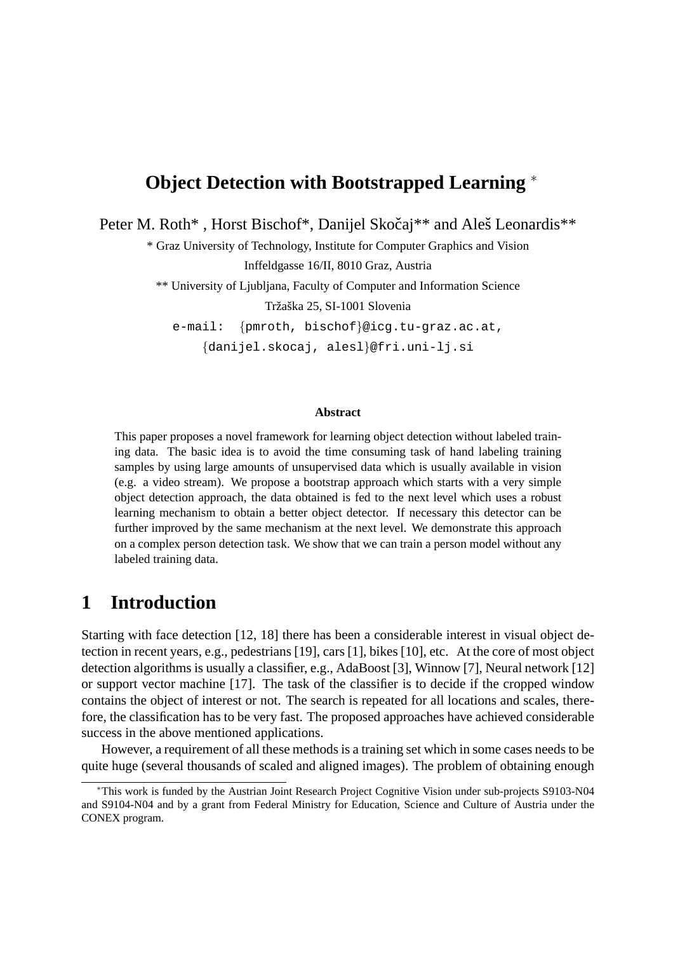# **Object Detection with Bootstrapped Learning** <sup>∗</sup>

Peter M. Roth\*, Horst Bischof\*, Danijel Skočaj\*\* and Aleš Leonardis\*\*

\* Graz University of Technology, Institute for Computer Graphics and Vision Inffeldgasse 16/II, 8010 Graz, Austria

\*\* University of Ljubljana, Faculty of Computer and Information Science Tržaška 25, SI-1001 Slovenia

e-mail: {pmroth, bischof}@icg.tu-graz.ac.at,

{danijel.skocaj, alesl}@fri.uni-lj.si

#### **Abstract**

This paper proposes a novel framework for learning object detection without labeled training data. The basic idea is to avoid the time consuming task of hand labeling training samples by using large amounts of unsupervised data which is usually available in vision (e.g. a video stream). We propose a bootstrap approach which starts with a very simple object detection approach, the data obtained is fed to the next level which uses a robust learning mechanism to obtain a better object detector. If necessary this detector can be further improved by the same mechanism at the next level. We demonstrate this approach on a complex person detection task. We show that we can train a person model without any labeled training data.

# **1 Introduction**

Starting with face detection [12, 18] there has been a considerable interest in visual object detection in recent years, e.g., pedestrians [19], cars [1], bikes [10], etc. At the core of most object detection algorithms is usually a classifier, e.g., AdaBoost [3], Winnow [7], Neural network [12] or support vector machine [17]. The task of the classifier is to decide if the cropped window contains the object of interest or not. The search is repeated for all locations and scales, therefore, the classification has to be very fast. The proposed approaches have achieved considerable success in the above mentioned applications.

However, a requirement of all these methods is a training set which in some cases needs to be quite huge (several thousands of scaled and aligned images). The problem of obtaining enough

<sup>∗</sup>This work is funded by the Austrian Joint Research Project Cognitive Vision under sub-projects S9103-N04 and S9104-N04 and by a grant from Federal Ministry for Education, Science and Culture of Austria under the CONEX program.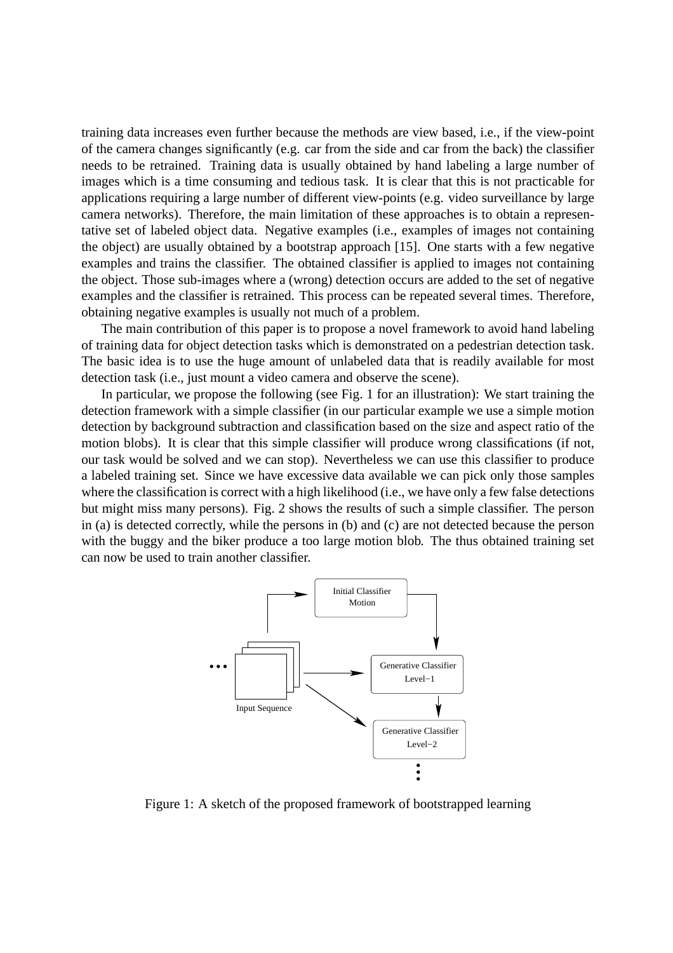training data increases even further because the methods are view based, i.e., if the view-point of the camera changes significantly (e.g. car from the side and car from the back) the classifier needs to be retrained. Training data is usually obtained by hand labeling a large number of images which is a time consuming and tedious task. It is clear that this is not practicable for applications requiring a large number of different view-points (e.g. video surveillance by large camera networks). Therefore, the main limitation of these approaches is to obtain a representative set of labeled object data. Negative examples (i.e., examples of images not containing the object) are usually obtained by a bootstrap approach [15]. One starts with a few negative examples and trains the classifier. The obtained classifier is applied to images not containing the object. Those sub-images where a (wrong) detection occurs are added to the set of negative examples and the classifier is retrained. This process can be repeated several times. Therefore, obtaining negative examples is usually not much of a problem.

The main contribution of this paper is to propose a novel framework to avoid hand labeling of training data for object detection tasks which is demonstrated on a pedestrian detection task. The basic idea is to use the huge amount of unlabeled data that is readily available for most detection task (i.e., just mount a video camera and observe the scene).

In particular, we propose the following (see Fig. 1 for an illustration): We start training the detection framework with a simple classifier (in our particular example we use a simple motion detection by background subtraction and classification based on the size and aspect ratio of the motion blobs). It is clear that this simple classifier will produce wrong classifications (if not, our task would be solved and we can stop). Nevertheless we can use this classifier to produce a labeled training set. Since we have excessive data available we can pick only those samples where the classification is correct with a high likelihood (i.e., we have only a few false detections but might miss many persons). Fig. 2 shows the results of such a simple classifier. The person in (a) is detected correctly, while the persons in (b) and (c) are not detected because the person with the buggy and the biker produce a too large motion blob. The thus obtained training set can now be used to train another classifier.



Figure 1: A sketch of the proposed framework of bootstrapped learning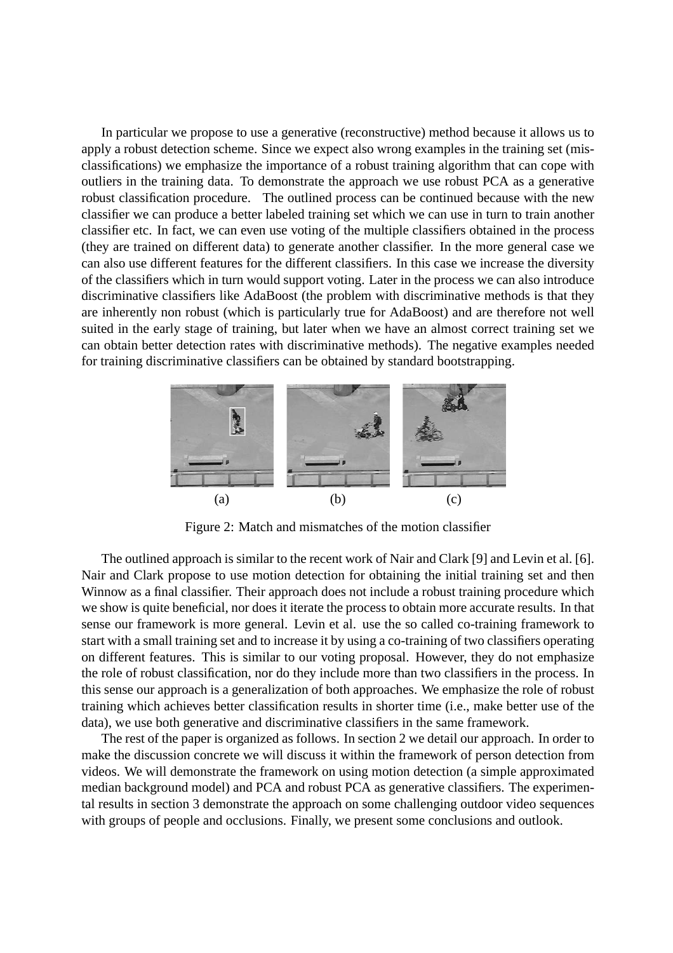In particular we propose to use a generative (reconstructive) method because it allows us to apply a robust detection scheme. Since we expect also wrong examples in the training set (misclassifications) we emphasize the importance of a robust training algorithm that can cope with outliers in the training data. To demonstrate the approach we use robust PCA as a generative robust classification procedure. The outlined process can be continued because with the new classifier we can produce a better labeled training set which we can use in turn to train another classifier etc. In fact, we can even use voting of the multiple classifiers obtained in the process (they are trained on different data) to generate another classifier. In the more general case we can also use different features for the different classifiers. In this case we increase the diversity of the classifiers which in turn would support voting. Later in the process we can also introduce discriminative classifiers like AdaBoost (the problem with discriminative methods is that they are inherently non robust (which is particularly true for AdaBoost) and are therefore not well suited in the early stage of training, but later when we have an almost correct training set we can obtain better detection rates with discriminative methods). The negative examples needed for training discriminative classifiers can be obtained by standard bootstrapping.



Figure 2: Match and mismatches of the motion classifier

The outlined approach is similar to the recent work of Nair and Clark [9] and Levin et al. [6]. Nair and Clark propose to use motion detection for obtaining the initial training set and then Winnow as a final classifier. Their approach does not include a robust training procedure which we show is quite beneficial, nor does it iterate the process to obtain more accurate results. In that sense our framework is more general. Levin et al. use the so called co-training framework to start with a small training set and to increase it by using a co-training of two classifiers operating on different features. This is similar to our voting proposal. However, they do not emphasize the role of robust classification, nor do they include more than two classifiers in the process. In this sense our approach is a generalization of both approaches. We emphasize the role of robust training which achieves better classification results in shorter time (i.e., make better use of the data), we use both generative and discriminative classifiers in the same framework.

The rest of the paper is organized as follows. In section 2 we detail our approach. In order to make the discussion concrete we will discuss it within the framework of person detection from videos. We will demonstrate the framework on using motion detection (a simple approximated median background model) and PCA and robust PCA as generative classifiers. The experimental results in section 3 demonstrate the approach on some challenging outdoor video sequences with groups of people and occlusions. Finally, we present some conclusions and outlook.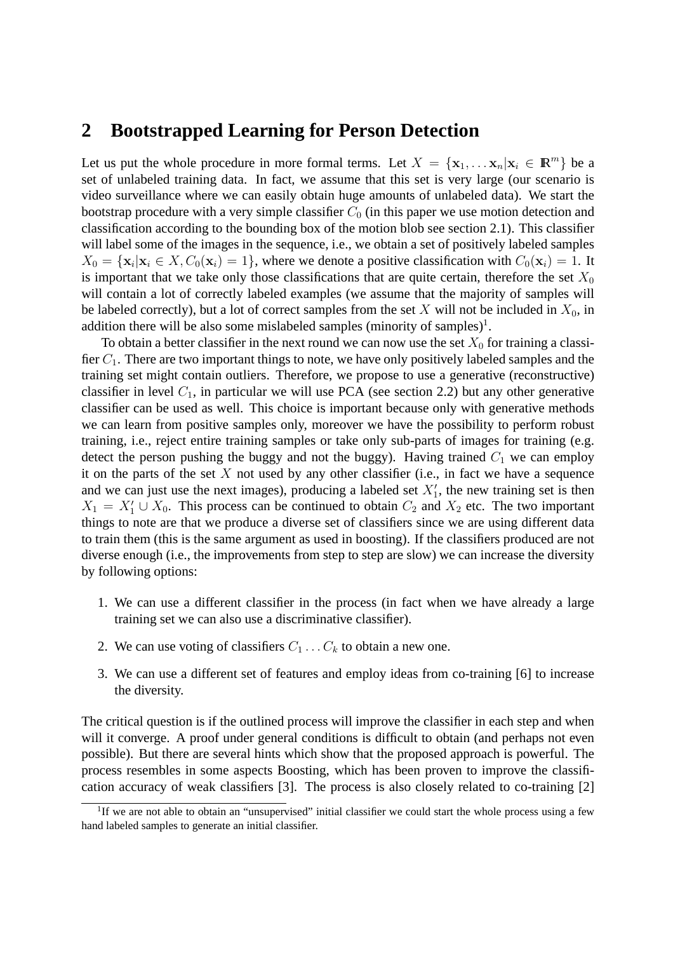### **2 Bootstrapped Learning for Person Detection**

Let us put the whole procedure in more formal terms. Let  $X = {\mathbf{x}_1, \dots \mathbf{x}_n | \mathbf{x}_i \in \mathbb{R}^m}$  be a set of unlabeled training data. In fact, we assume that this set is very large (our scenario is video surveillance where we can easily obtain huge amounts of unlabeled data). We start the bootstrap procedure with a very simple classifier  $C_0$  (in this paper we use motion detection and classification according to the bounding box of the motion blob see section 2.1). This classifier will label some of the images in the sequence, i.e., we obtain a set of positively labeled samples  $X_0 = {\mathbf{x}_i | \mathbf{x}_i \in X, C_0(\mathbf{x}_i) = 1}$ , where we denote a positive classification with  $C_0(\mathbf{x}_i) = 1$ . It is important that we take only those classifications that are quite certain, therefore the set  $X_0$ will contain a lot of correctly labeled examples (we assume that the majority of samples will be labeled correctly), but a lot of correct samples from the set X will not be included in  $X_0$ , in addition there will be also some mislabeled samples (minority of samples)<sup>1</sup>.

To obtain a better classifier in the next round we can now use the set  $X_0$  for training a classifier  $C_1$ . There are two important things to note, we have only positively labeled samples and the training set might contain outliers. Therefore, we propose to use a generative (reconstructive) classifier in level  $C_1$ , in particular we will use PCA (see section 2.2) but any other generative classifier can be used as well. This choice is important because only with generative methods we can learn from positive samples only, moreover we have the possibility to perform robust training, i.e., reject entire training samples or take only sub-parts of images for training (e.g. detect the person pushing the buggy and not the buggy). Having trained  $C_1$  we can employ it on the parts of the set  $X$  not used by any other classifier (i.e., in fact we have a sequence and we can just use the next images), producing a labeled set  $X'_1$ , the new training set is then  $X_1 = X_1' \cup X_0$ . This process can be continued to obtain  $C_2$  and  $X_2$  etc. The two important things to note are that we produce a diverse set of classifiers since we are using different data to train them (this is the same argument as used in boosting). If the classifiers produced are not diverse enough (i.e., the improvements from step to step are slow) we can increase the diversity by following options:

- 1. We can use a different classifier in the process (in fact when we have already a large training set we can also use a discriminative classifier).
- 2. We can use voting of classifiers  $C_1 \ldots C_k$  to obtain a new one.
- 3. We can use a different set of features and employ ideas from co-training [6] to increase the diversity.

The critical question is if the outlined process will improve the classifier in each step and when will it converge. A proof under general conditions is difficult to obtain (and perhaps not even possible). But there are several hints which show that the proposed approach is powerful. The process resembles in some aspects Boosting, which has been proven to improve the classification accuracy of weak classifiers [3]. The process is also closely related to co-training [2]

<sup>&</sup>lt;sup>1</sup>If we are not able to obtain an "unsupervised" initial classifier we could start the whole process using a few hand labeled samples to generate an initial classifier.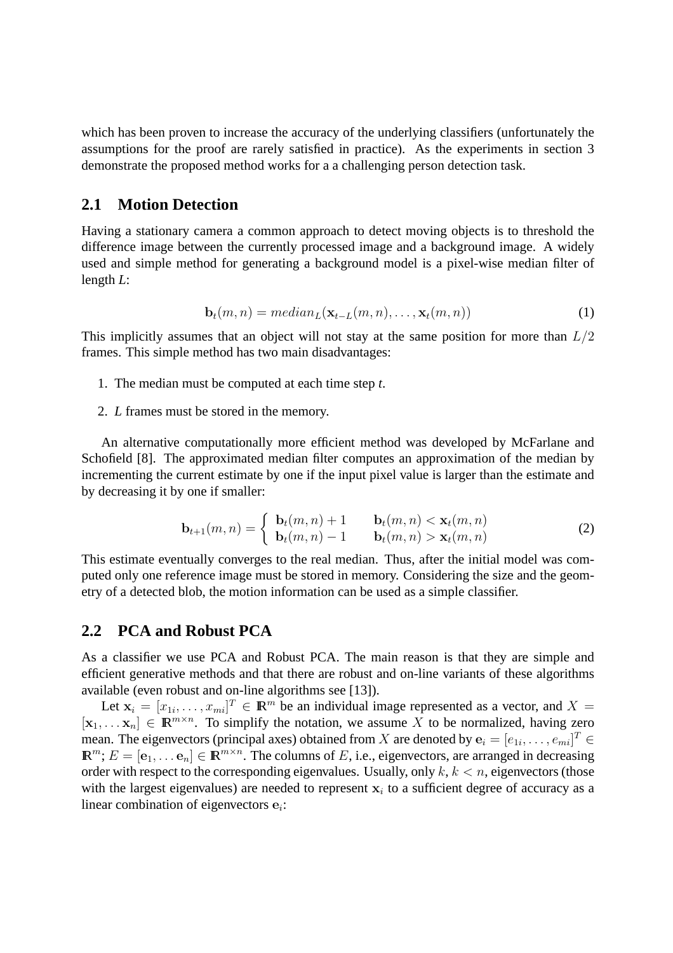which has been proven to increase the accuracy of the underlying classifiers (unfortunately the assumptions for the proof are rarely satisfied in practice). As the experiments in section 3 demonstrate the proposed method works for a a challenging person detection task.

### **2.1 Motion Detection**

Having a stationary camera a common approach to detect moving objects is to threshold the difference image between the currently processed image and a background image. A widely used and simple method for generating a background model is a pixel-wise median filter of length *L*:

$$
\mathbf{b}_t(m,n) = \text{median}_L(\mathbf{x}_{t-L}(m,n),\dots,\mathbf{x}_t(m,n))
$$
\n(1)

This implicitly assumes that an object will not stay at the same position for more than  $L/2$ frames. This simple method has two main disadvantages:

- 1. The median must be computed at each time step *t*.
- 2. *L* frames must be stored in the memory.

An alternative computationally more efficient method was developed by McFarlane and Schofield [8]. The approximated median filter computes an approximation of the median by incrementing the current estimate by one if the input pixel value is larger than the estimate and by decreasing it by one if smaller:

$$
\mathbf{b}_{t+1}(m,n) = \begin{cases} \mathbf{b}_t(m,n) + 1 & \mathbf{b}_t(m,n) < \mathbf{x}_t(m,n) \\ \mathbf{b}_t(m,n) - 1 & \mathbf{b}_t(m,n) > \mathbf{x}_t(m,n) \end{cases}
$$
(2)

This estimate eventually converges to the real median. Thus, after the initial model was computed only one reference image must be stored in memory. Considering the size and the geometry of a detected blob, the motion information can be used as a simple classifier.

#### **2.2 PCA and Robust PCA**

As a classifier we use PCA and Robust PCA. The main reason is that they are simple and efficient generative methods and that there are robust and on-line variants of these algorithms available (even robust and on-line algorithms see [13]).

Let  $\mathbf{x}_i = [x_{1i}, \dots, x_{mi}]^T \in \mathbb{R}^m$  be an individual image represented as a vector, and  $X =$  $[\mathbf{x}_1, \dots \mathbf{x}_n] \in \mathbb{R}^{m \times n}$ . To simplify the notation, we assume X to be normalized, having zero mean. The eigenvectors (principal axes) obtained from  $X$  are denoted by  $\mathbf{e}_i = [e_{1i}, \dots, e_{mi}]^T \in$  $\mathbb{R}^m$ ;  $E = [\mathbf{e}_1, \dots \mathbf{e}_n] \in \mathbb{R}^{m \times n}$ . The columns of E, i.e., eigenvectors, are arranged in decreasing order with respect to the corresponding eigenvalues. Usually, only  $k, k < n$ , eigenvectors (those with the largest eigenvalues) are needed to represent  $x_i$  to a sufficient degree of accuracy as a linear combination of eigenvectors  $e_i$ :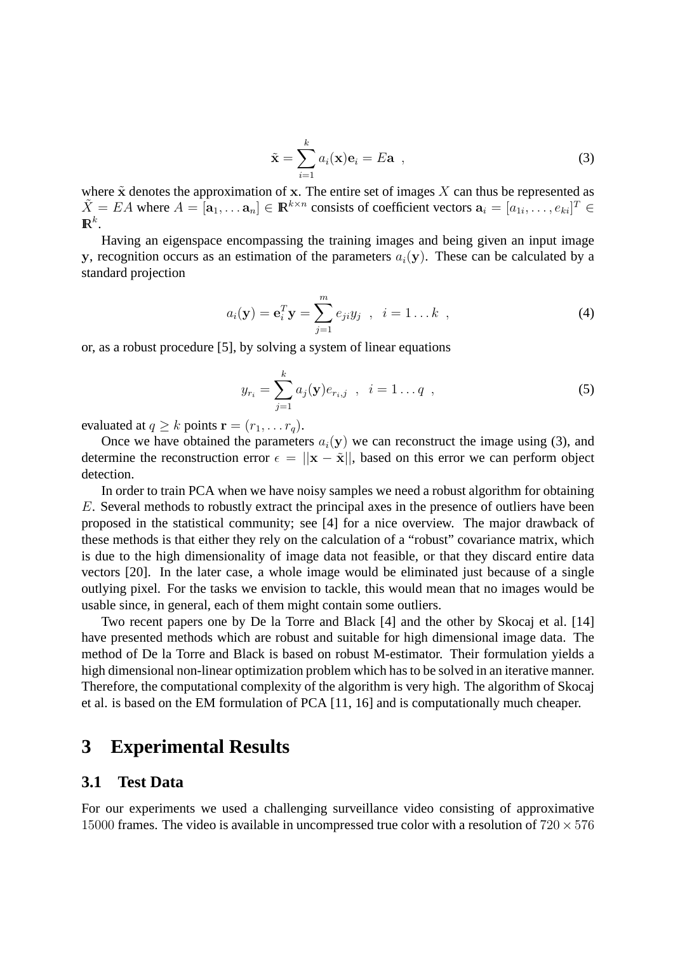$$
\tilde{\mathbf{x}} = \sum_{i=1}^{k} a_i(\mathbf{x}) \mathbf{e}_i = E \mathbf{a} \tag{3}
$$

where  $\tilde{x}$  denotes the approximation of x. The entire set of images X can thus be represented as  $\tilde{X} = EA$  where  $A = [\mathbf{a}_1, \dots \mathbf{a}_n] \in \mathbb{R}^{k \times n}$  consists of coefficient vectors  $\mathbf{a}_i = [a_{1i}, \dots, a_{ki}]^T \in$  $\mathbf{R}^k$ .

Having an eigenspace encompassing the training images and being given an input image y, recognition occurs as an estimation of the parameters  $a_i(y)$ . These can be calculated by a standard projection

$$
a_i(\mathbf{y}) = \mathbf{e}_i^T \mathbf{y} = \sum_{j=1}^m e_{ji} y_j \quad , \quad i = 1 \dots k \quad , \tag{4}
$$

or, as a robust procedure [5], by solving a system of linear equations

$$
y_{r_i} = \sum_{j=1}^{k} a_j(\mathbf{y}) e_{r_i, j} \quad , \quad i = 1 \dots q \quad , \tag{5}
$$

evaluated at  $q \ge k$  points  $\mathbf{r} = (r_1, \dots r_q)$ .

Once we have obtained the parameters  $a_i(y)$  we can reconstruct the image using (3), and determine the reconstruction error  $\epsilon = ||\mathbf{x} - \tilde{\mathbf{x}}||$ , based on this error we can perform object detection.

In order to train PCA when we have noisy samples we need a robust algorithm for obtaining E. Several methods to robustly extract the principal axes in the presence of outliers have been proposed in the statistical community; see [4] for a nice overview. The major drawback of these methods is that either they rely on the calculation of a "robust" covariance matrix, which is due to the high dimensionality of image data not feasible, or that they discard entire data vectors [20]. In the later case, a whole image would be eliminated just because of a single outlying pixel. For the tasks we envision to tackle, this would mean that no images would be usable since, in general, each of them might contain some outliers.

Two recent papers one by De la Torre and Black [4] and the other by Skocaj et al. [14] have presented methods which are robust and suitable for high dimensional image data. The method of De la Torre and Black is based on robust M-estimator. Their formulation yields a high dimensional non-linear optimization problem which has to be solved in an iterative manner. Therefore, the computational complexity of the algorithm is very high. The algorithm of Skocaj et al. is based on the EM formulation of PCA [11, 16] and is computationally much cheaper.

## **3 Experimental Results**

#### **3.1 Test Data**

For our experiments we used a challenging surveillance video consisting of approximative 15000 frames. The video is available in uncompressed true color with a resolution of  $720 \times 576$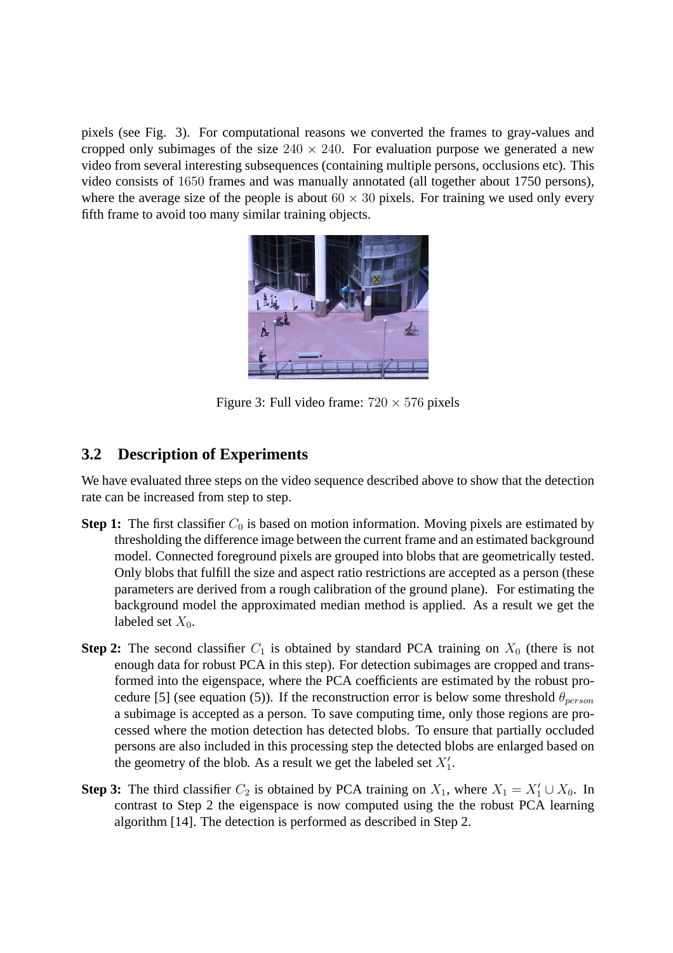pixels (see Fig. 3). For computational reasons we converted the frames to gray-values and cropped only subimages of the size  $240 \times 240$ . For evaluation purpose we generated a new video from several interesting subsequences (containing multiple persons, occlusions etc). This video consists of 1650 frames and was manually annotated (all together about 1750 persons), where the average size of the people is about  $60 \times 30$  pixels. For training we used only every fifth frame to avoid too many similar training objects.



Figure 3: Full video frame:  $720 \times 576$  pixels

### **3.2 Description of Experiments**

We have evaluated three steps on the video sequence described above to show that the detection rate can be increased from step to step.

- **Step 1:** The first classifier  $C_0$  is based on motion information. Moving pixels are estimated by thresholding the difference image between the current frame and an estimated background model. Connected foreground pixels are grouped into blobs that are geometrically tested. Only blobs that fulfill the size and aspect ratio restrictions are accepted as a person (these parameters are derived from a rough calibration of the ground plane). For estimating the background model the approximated median method is applied. As a result we get the labeled set  $X_0$ .
- **Step 2:** The second classifier  $C_1$  is obtained by standard PCA training on  $X_0$  (there is not enough data for robust PCA in this step). For detection subimages are cropped and transformed into the eigenspace, where the PCA coefficients are estimated by the robust procedure [5] (see equation (5)). If the reconstruction error is below some threshold  $\theta_{person}$ a subimage is accepted as a person. To save computing time, only those regions are processed where the motion detection has detected blobs. To ensure that partially occluded persons are also included in this processing step the detected blobs are enlarged based on the geometry of the blob. As a result we get the labeled set  $X'_1$ .
- **Step 3:** The third classifier  $C_2$  is obtained by PCA training on  $X_1$ , where  $X_1 = X_1' \cup X_0$ . In contrast to Step 2 the eigenspace is now computed using the the robust PCA learning algorithm [14]. The detection is performed as described in Step 2.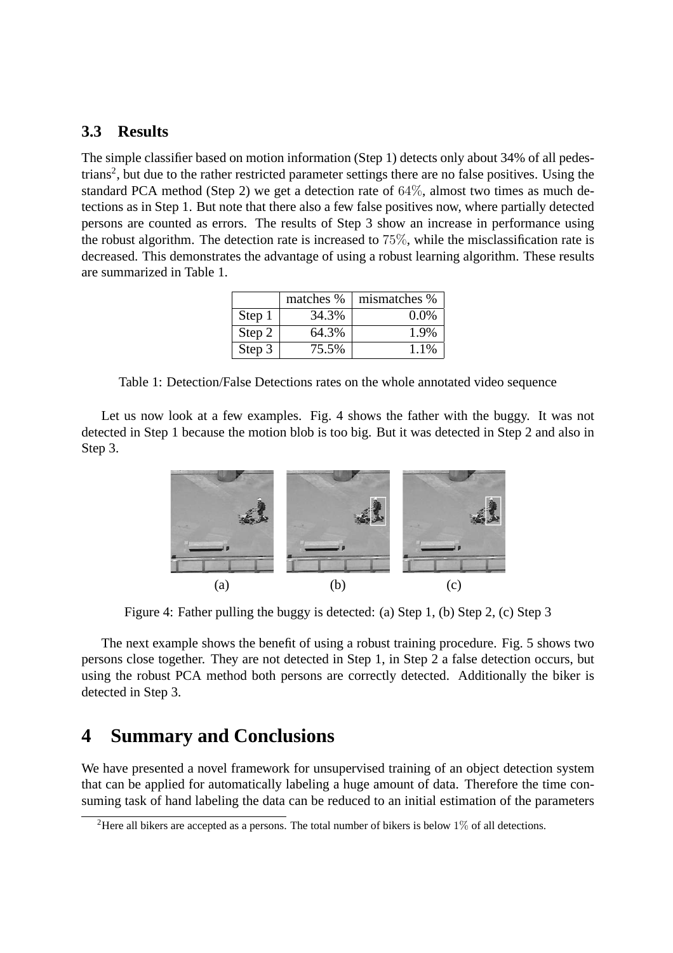#### **3.3 Results**

The simple classifier based on motion information (Step 1) detects only about 34% of all pedestrians<sup>2</sup>, but due to the rather restricted parameter settings there are no false positives. Using the standard PCA method (Step 2) we get a detection rate of 64%, almost two times as much detections as in Step 1. But note that there also a few false positives now, where partially detected persons are counted as errors. The results of Step 3 show an increase in performance using the robust algorithm. The detection rate is increased to 75%, while the misclassification rate is decreased. This demonstrates the advantage of using a robust learning algorithm. These results are summarized in Table 1.

|        | matches % | mismatches % |
|--------|-----------|--------------|
| Step 1 | 34.3%     | $0.0\%$      |
| Step 2 | 64.3%     | 1.9%         |
| Step 3 | 75.5%     | 1.1%         |

Table 1: Detection/False Detections rates on the whole annotated video sequence

Let us now look at a few examples. Fig. 4 shows the father with the buggy. It was not detected in Step 1 because the motion blob is too big. But it was detected in Step 2 and also in Step 3.



Figure 4: Father pulling the buggy is detected: (a) Step 1, (b) Step 2, (c) Step 3

The next example shows the benefit of using a robust training procedure. Fig. 5 shows two persons close together. They are not detected in Step 1, in Step 2 a false detection occurs, but using the robust PCA method both persons are correctly detected. Additionally the biker is detected in Step 3.

## **4 Summary and Conclusions**

We have presented a novel framework for unsupervised training of an object detection system that can be applied for automatically labeling a huge amount of data. Therefore the time consuming task of hand labeling the data can be reduced to an initial estimation of the parameters

<sup>&</sup>lt;sup>2</sup>Here all bikers are accepted as a persons. The total number of bikers is below  $1\%$  of all detections.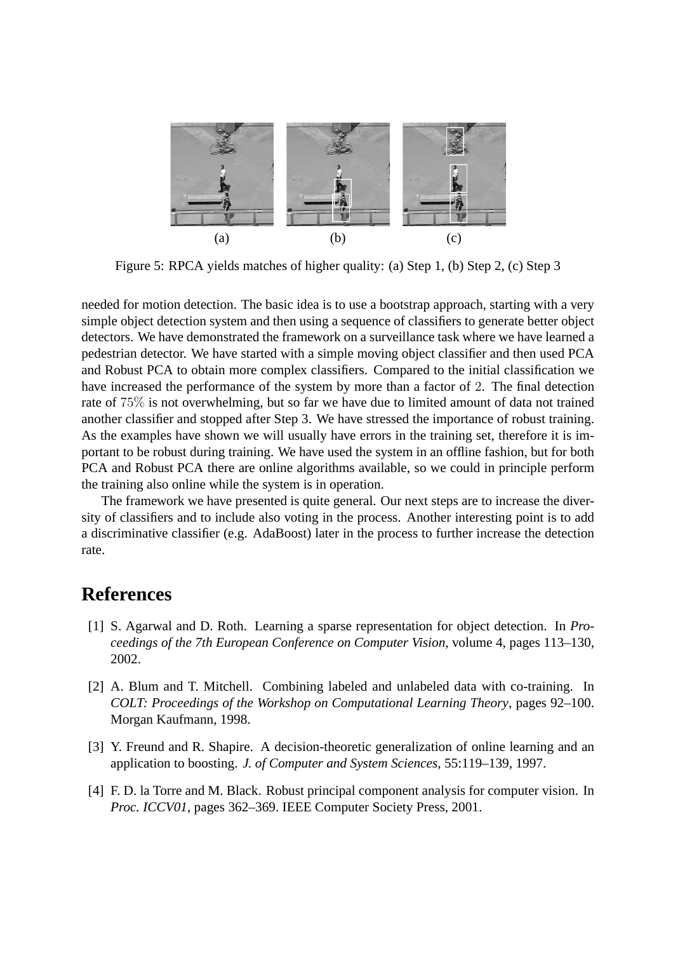

Figure 5: RPCA yields matches of higher quality: (a) Step 1, (b) Step 2, (c) Step 3

needed for motion detection. The basic idea is to use a bootstrap approach, starting with a very simple object detection system and then using a sequence of classifiers to generate better object detectors. We have demonstrated the framework on a surveillance task where we have learned a pedestrian detector. We have started with a simple moving object classifier and then used PCA and Robust PCA to obtain more complex classifiers. Compared to the initial classification we have increased the performance of the system by more than a factor of 2. The final detection rate of 75% is not overwhelming, but so far we have due to limited amount of data not trained another classifier and stopped after Step 3. We have stressed the importance of robust training. As the examples have shown we will usually have errors in the training set, therefore it is important to be robust during training. We have used the system in an offline fashion, but for both PCA and Robust PCA there are online algorithms available, so we could in principle perform the training also online while the system is in operation.

The framework we have presented is quite general. Our next steps are to increase the diversity of classifiers and to include also voting in the process. Another interesting point is to add a discriminative classifier (e.g. AdaBoost) later in the process to further increase the detection rate.

# **References**

- [1] S. Agarwal and D. Roth. Learning a sparse representation for object detection. In *Proceedings of the 7th European Conference on Computer Vision*, volume 4, pages 113–130, 2002.
- [2] A. Blum and T. Mitchell. Combining labeled and unlabeled data with co-training. In *COLT: Proceedings of the Workshop on Computational Learning Theory*, pages 92–100. Morgan Kaufmann, 1998.
- [3] Y. Freund and R. Shapire. A decision-theoretic generalization of online learning and an application to boosting. *J. of Computer and System Sciences*, 55:119–139, 1997.
- [4] F. D. la Torre and M. Black. Robust principal component analysis for computer vision. In *Proc. ICCV01*, pages 362–369. IEEE Computer Society Press, 2001.